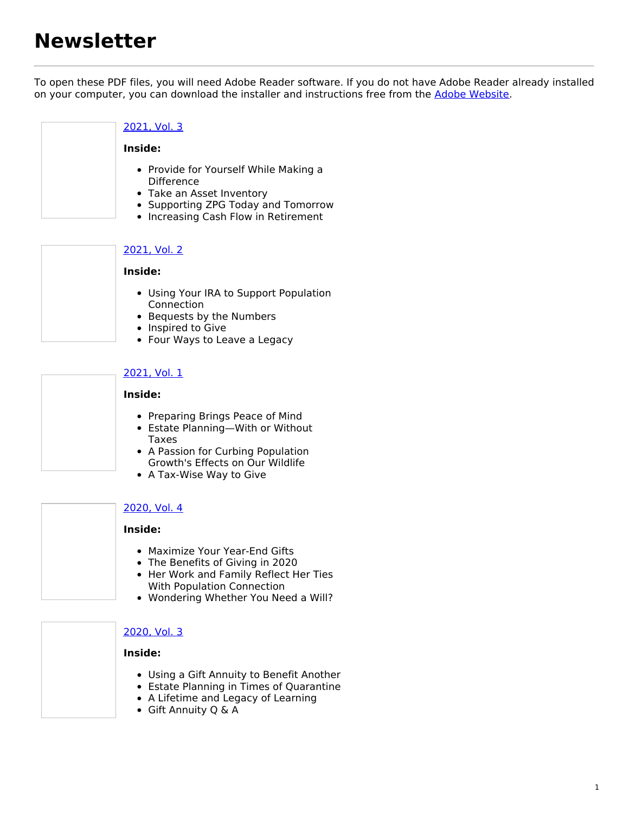# **Newsletter**

To open these PDF files, you will need Adobe Reader software. If you do not have Adobe Reader already installed on your computer, you can download the installer and instructions free from the Adobe [Website](http://get.adobe.com/reader/).

## [2021,](https://popconnect.givingplan.net/sites/master.aboutgiving.net/files/PopConn_2021_Vol_3.pdf) Vol. 3

#### **Inside:**

- Provide for Yourself While Making a **Difference**
- Take an Asset Inventory
- Supporting ZPG Today and Tomorrow
- Increasing Cash Flow in Retirement

#### [2021,](https://popconnect.givingplan.net/sites/master.aboutgiving.net/files/PopConn_2021_Vol_2.pdf) Vol. 2

#### **Inside:**

- Using Your IRA to Support Population Connection
- Bequests by the Numbers
- Inspired to Give
- Four Ways to Leave a Legacy

#### [2021,](https://popconnect.givingplan.net/sites/master.aboutgiving.net/files/PopConn_2021_Vol_1.pdf) Vol. 1

#### **Inside:**

- Preparing Brings Peace of Mind
- Estate Planning—With or Without Taxes
- A Passion for Curbing Population Growth's Effects on Our Wildlife
- A Tax-Wise Way to Give

#### [2020,](https://popconnect.givingplan.net/sites/master.aboutgiving.net/files/PopConn_2020_Vol_4.pdf) Vol. 4

#### **Inside:**

- Maximize Your Year-End Gifts
- The Benefits of Giving in 2020
- Her Work and Family Reflect Her Ties With Population Connection
- Wondering Whether You Need a Will?

## [2020,](https://popconnect.givingplan.net/sites/master.aboutgiving.net/files/PopConn_2020_Vol_3.pdf) Vol. 3

#### **Inside:**

- Using a Gift Annuity to Benefit Another
- Estate Planning in Times of Quarantine
- A Lifetime and Legacy of Learning
- Gift Annuity Q & A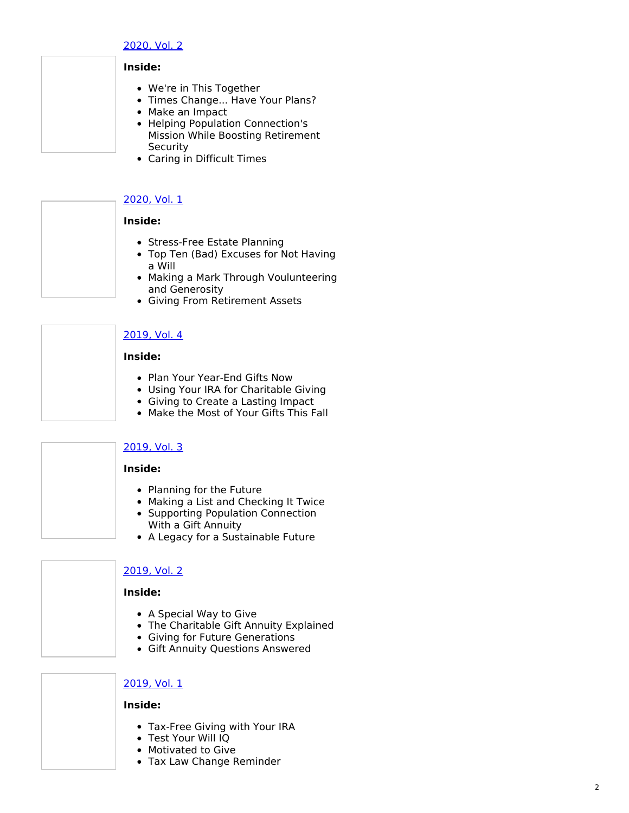#### <u>2020, V[ol.](https://popconnect.givingplan.net/sites/master.aboutgiving.net/files/PopConn_2020_Vol_2.pdf) 2</u>

# **I n s i d e :**

- We're in This Together
- Times Change... Have Your Plans?
- Make an Impact
- Helping Population Connection's Mission While Boosting Retirement S e c u rit y
- Caring in Difficult Times

## <u>2020, V[ol.](https://popconnect.givingplan.net/sites/master.aboutgiving.net/files/PopConn_2020_Vol_1.pdf) 1</u>

## **I n s i d e :**

- Stress-Free Estate Planning
- Top Ten (Bad) Excuses for Not Having a Will
- Making a Mark Through Voulunteering and Generosity
- Giving From Retirement Assets

# <u>2019, V[ol.](https://popconnect.givingplan.net/sites/master.aboutgiving.net/files/PopConn_2019_Vol_4.pdf) 4</u>

#### **I n s i d e :**

- Plan Your Year-End Gifts Now
- Using Your IRA for Charitable Giving
- Giving to Create a Lasting Impact
- Make the Most of Your Gifts This Fall

## [2019,](https://popconnect.givingplan.net/sites/master.aboutgiving.net/files/PopConn_2019_Vol_3.pdf) Vol. 3

## **Inside:**

- Planning for the Future
- Making a List and Checking It Twice
- Supporting Population Connection With a Gift Annuity
- A Legacy for a Sustainable Future

# [2019,](https://popconnect.givingplan.net/sites/master.aboutgiving.net/files/PopConn_2019_Vol_2.pdf) Vol. 2

## **Inside:**

- A Special Way to Give
- The Charitable Gift Annuity Explaine d
- Giving for Future Generations
- Gift Annuity Questions Answered

## <u>2019, V[ol.](https://popconnect.givingplan.net/sites/master.aboutgiving.net/files/PopConn_2019_Vol_1.pdf) 1</u>

## **I n s i d e :**

- Tax-Free Giving with Your IRA
- Test Your Will IQ
- Motivated to Give
- Tax Law Change Reminder